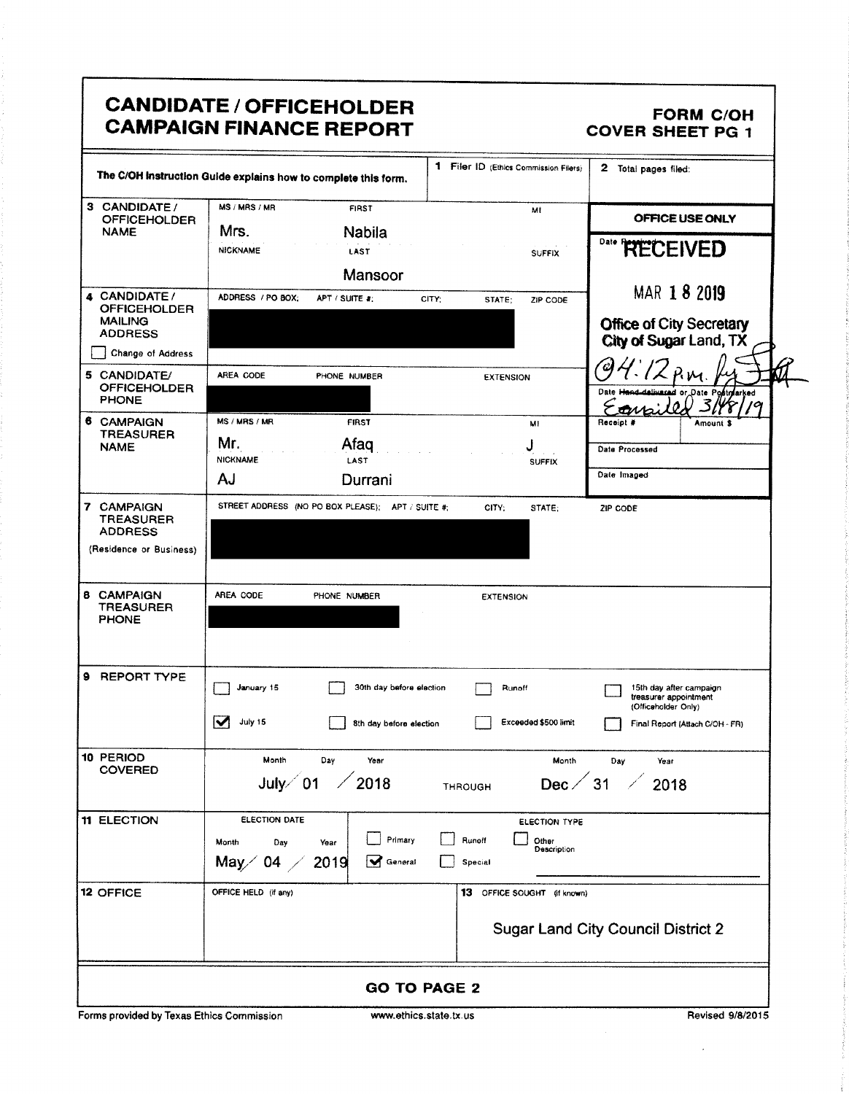| CANDIDATE / OFFICEHOLDER<br>  CAMPAIGN FINANCE REPORT                                                                                             | FORM C/OH<br>COVER SHEET PG 1                                                                           |  |  |  |
|---------------------------------------------------------------------------------------------------------------------------------------------------|---------------------------------------------------------------------------------------------------------|--|--|--|
| The C/OH instruction Guide explains how to complete this form.                                                                                    | 1 Filer ID (Ethics Commission Filers) 2 Total pages filed:                                              |  |  |  |
| 3 CANDIDATE / MS / MRS / MR<br>OFFICEHOLDER NAME<br><b>FIRST</b><br>Nabila<br>LAST<br><b>NICKNAME</b><br>Mansoor                                  | MI<br>OFFICE USE ONLY<br><sup>Date</sup> RECEIVED<br><b>SUFFIX</b>                                      |  |  |  |
| 4 CANDIDATE / ADDRESS / PO BOX; APT / SUITE #: CITY; STATE; ZIP CODE<br>MAILING<br>ADDRESS<br>ADDRESS                                             | MAR 1 8 2019<br>Office of City Secretary<br>City of Sugar Land, TX                                      |  |  |  |
| Change of Address<br>5 CANDIDATE/<br>OFFICEHOLDER<br>PHONE<br>AREA CODE<br>PHONE NUMBER<br>MS / MRS / MR<br><b>FIRST</b>                          | <b>EXTENSION</b><br><b>MI</b>                                                                           |  |  |  |
| 6 CAMPAIGN<br>TREASURER<br>NAME<br>Afaq<br><b>IICKNAME</b><br>LAST<br>Durrani                                                                     | Date Processed<br><b>SUFFIX</b><br>Date Imaged                                                          |  |  |  |
| STREET ADDRESS (NO PO BOX PLEASE); APT / SUITE #; CITY; STATE; ZIP CODE<br><b>7 CAMPAIGN<br/>TREASURER<br/>ADDRESS</b><br>(Residence or Business) |                                                                                                         |  |  |  |
| 8 CAMPAIGN<br>TREASURER<br>PHONE<br>AREA CODE PHONE NUMBER                                                                                        | <b>EXTENSION</b>                                                                                        |  |  |  |
| 9 REPORT TYPE<br>30th day before election Runoff<br>January 15<br>Juty 15                                                                         | 15th day after campaign<br>treasurer appointment<br>(Officeholder Only)                                 |  |  |  |
| 8th day before election<br>10 PERIOD<br>COVERED<br>Month Day Year<br>July $\diagup$ 01 $\diagup$ 2018<br><b>THROUGH</b>                           | Exceeded \$500 limit Final Report (Attach C/OH - FR)<br>Month Day Year<br>Dec $\angle$ 31 $\angle$ 2018 |  |  |  |
| 11 ELECTION<br>ELECTION DATE<br>Month Day Year Primary natural Runoff<br>May 04 2019 Meneral Special Special                                      | ELECTION TYPE                                                                                           |  |  |  |
| 12 OFFICE<br>OFFICE HELD (if any)                                                                                                                 | 13 OFFICE SOUGHT (If known)<br><b>Sugar Land City Council District 2</b>                                |  |  |  |
| <b>GO TO PAGE 2</b><br>Forms provided by Texas Ethics Commission<br>www.ethics.state.tx.us                                                        | Revised 9/8/201                                                                                         |  |  |  |

by Texas Ethics Commission w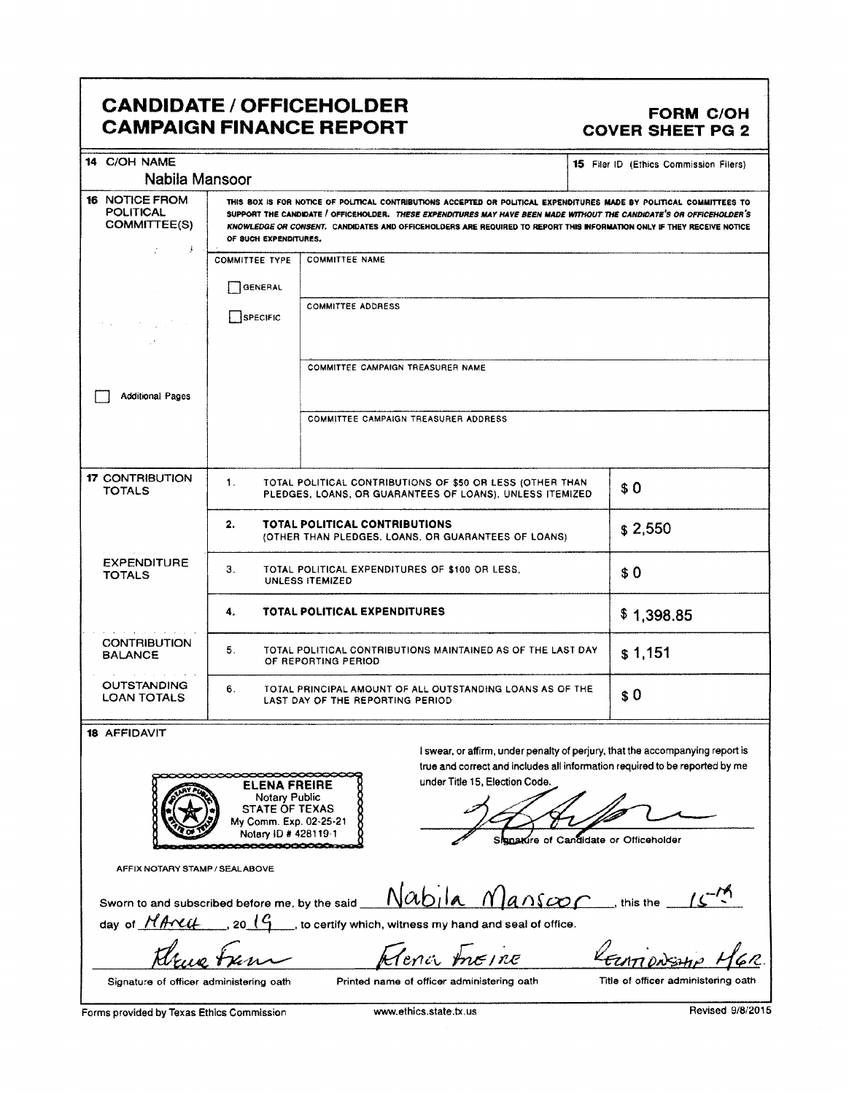## CANDIDATE / OFFICEHOLDER FORM C/OH CAMPAIGN FINANCE REPORT COVER SHEET PG 2

| <b>CANDIDATE / OFFICEHOLDER</b><br><b>FORM C/OH</b><br><b>CAMPAIGN FINANCE REPORT</b><br><b>COVER SHEET PG 2</b>                                                                                                                                                                                                                                                                                |  |  |  |
|-------------------------------------------------------------------------------------------------------------------------------------------------------------------------------------------------------------------------------------------------------------------------------------------------------------------------------------------------------------------------------------------------|--|--|--|
| 15 Filer ID (Ethics Commission Filers)<br>Nabila Mansoor                                                                                                                                                                                                                                                                                                                                        |  |  |  |
| THIS BOX IS FOR NOTICE OF POLITICAL CONTRIBUTIONS ACCEPTED OR POLITICAL EXPENDITURES MADE BY POLITICAL COMMITTEES T<br>SUPPORT THE CANDIDATE / OFFICEHOLDER. THESE EXPENDITURES MAY HAVE BEEN MADE WITHOUT THE CANDIDATE'S OR OFFICEHOLDER'S<br>KNOWLEDGE OR CONSENT. CANDIDATES AND OFFICEHOLDERS ARE REQUIRED TO REPORT THIS INFORMATION ONLY IF THEY RECEIVE NOTICE<br>OF SUCH EXPENDITURES, |  |  |  |
| COMMITTEE TYPE   COMMITTEE NAME                                                                                                                                                                                                                                                                                                                                                                 |  |  |  |
| $\Box$ GENERAL<br>COMMITTEE ADDRESS<br>SPECIFIC                                                                                                                                                                                                                                                                                                                                                 |  |  |  |
| COMMITTEE CAMPAIGN TREASURER NAME                                                                                                                                                                                                                                                                                                                                                               |  |  |  |
| COMMITTEE CAMPAIGN TREASURER ADDRESS                                                                                                                                                                                                                                                                                                                                                            |  |  |  |
| TOTAL POLITICAL CONTRIBUTIONS OF \$50 OR LESS (OTHER THAN \$ 0 \$ 0 )                                                                                                                                                                                                                                                                                                                           |  |  |  |
| TOTAL POLITICAL CONTRIBUTIONS<br>2,550<br>(OTHER THAN PLEDGES, LOANS, OR GUARANTEES OF LOANS)                                                                                                                                                                                                                                                                                                   |  |  |  |
| TOTAL POLITICAL EXPENDITURES OF \$100 OR LESS.<br>UNLESS ITEMIZED<br>$ $ \$0                                                                                                                                                                                                                                                                                                                    |  |  |  |
| TOTAL POLITICAL EXPENDITURES<br>\$1,398.85                                                                                                                                                                                                                                                                                                                                                      |  |  |  |
| TOTAL POLITICAL CONTRIBUTIONS MAINTAINED AS OF THE LAST DAY \$1,151                                                                                                                                                                                                                                                                                                                             |  |  |  |
| OUTSTANDING<br>LOAN TOTALS<br>TOTAL PRINCIPAL AMOUNT OF ALL OUTSTANDING LOANS AS OF THE<br>LAST DAY OF THE REPORTING PERIOD<br>$  $ \$ 0                                                                                                                                                                                                                                                        |  |  |  |
| 18 AFFIDAVIT<br>I swear, or affirm, under penalty of perjury, that the accompanying report is<br>true and correct and includes all information required to be reported by me<br>ELENA FREIRE<br>Notary Public<br>STATE OF TEXAS<br>My Comm. Exp. 02-25-21<br>Notary ID # 428119-1<br>under Title 15, Election Code.<br>Jampre<br>Signature of Candidate or Officeholder                         |  |  |  |
| AFFIX NOTARY STAMP / SEALABOVE                                                                                                                                                                                                                                                                                                                                                                  |  |  |  |
| Sworn to and subscribed before me, by the said $Nabila$ $Manscop$ , this the $15^{M}$<br><b>Contract Service</b><br>Alena meine                                                                                                                                                                                                                                                                 |  |  |  |
| House tran<br>KELATIONSHIP MGR.<br>Printed name of officer administering oath<br>Title of officer administering oath<br>Signature of officer administering oath                                                                                                                                                                                                                                 |  |  |  |
| Revised 9/8/2015<br>Forms provided by Texas Ethics Commission<br>www.ethics.state.tx.us                                                                                                                                                                                                                                                                                                         |  |  |  |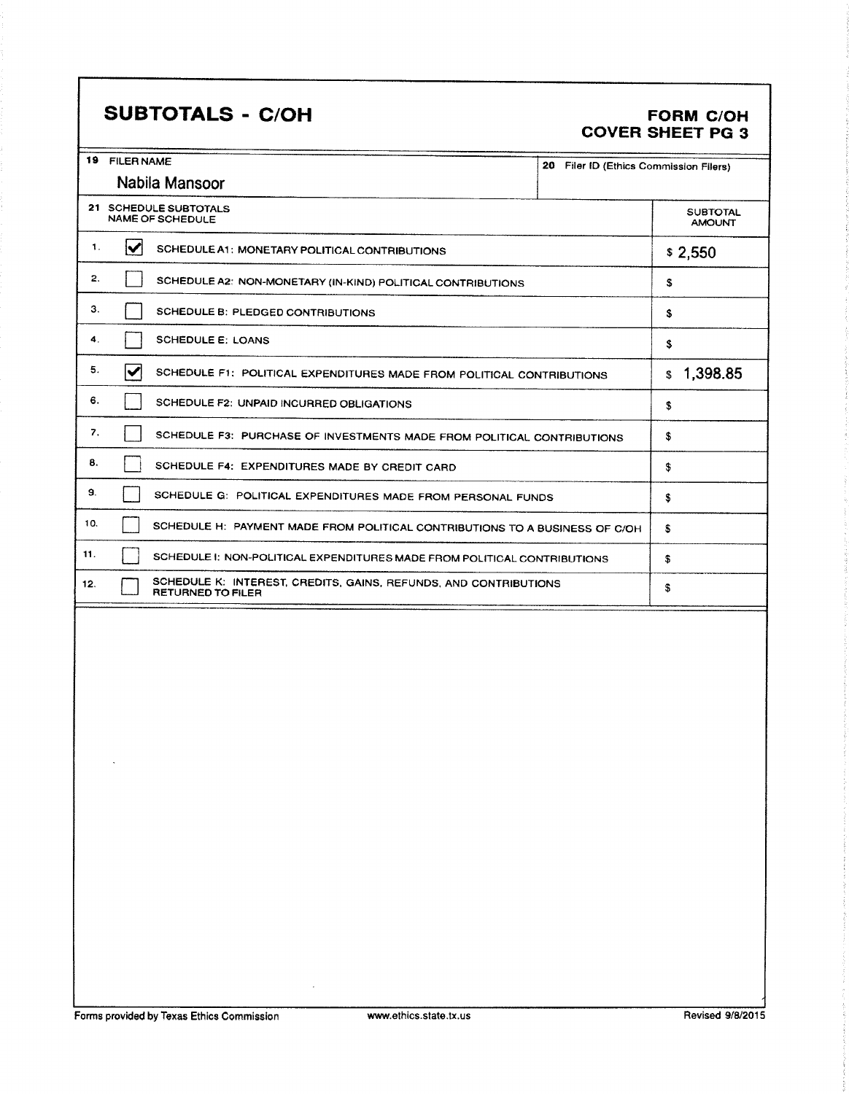## SUBTOTALS - C/OH FORM C/OH

# COVER SHEET PG 3

| 19  | <b>FILER NAME</b><br>20.<br>Filer ID (Ethics Commission Filers)        |                                                                                              |    |    |  |  |  |  |
|-----|------------------------------------------------------------------------|----------------------------------------------------------------------------------------------|----|----|--|--|--|--|
|     | Nabila Mansoor                                                         |                                                                                              |    |    |  |  |  |  |
|     |                                                                        |                                                                                              |    |    |  |  |  |  |
|     | 21 SCHEDULE SUBTOTALS<br><b>NAME OF SCHEDULE</b>                       |                                                                                              |    |    |  |  |  |  |
| 1.  | $\blacktriangleright$                                                  | SCHEDULE A1: MONETARY POLITICAL CONTRIBUTIONS                                                |    |    |  |  |  |  |
| 2.  |                                                                        | SCHEDULE A2: NON-MONETARY (IN-KIND) POLITICAL CONTRIBUTIONS                                  |    | s  |  |  |  |  |
| 3.  |                                                                        | SCHEDULE B: PLEDGED CONTRIBUTIONS                                                            |    | \$ |  |  |  |  |
| 4.  | <b>SCHEDULE E: LOANS</b>                                               |                                                                                              | S  |    |  |  |  |  |
| 5.  | ✔                                                                      | SCHEDULE F1: POLITICAL EXPENDITURES MADE FROM POLITICAL CONTRIBUTIONS                        |    |    |  |  |  |  |
| 6.  |                                                                        | SCHEDULE F2: UNPAID INCURRED OBLIGATIONS                                                     |    |    |  |  |  |  |
| 7.  | SCHEDULE F3: PURCHASE OF INVESTMENTS MADE FROM POLITICAL CONTRIBUTIONS | \$                                                                                           |    |    |  |  |  |  |
| 8.  | SCHEDULE F4: EXPENDITURES MADE BY CREDIT CARD                          | \$                                                                                           |    |    |  |  |  |  |
| 9.  |                                                                        | SCHEDULE G: POLITICAL EXPENDITURES MADE FROM PERSONAL FUNDS                                  |    |    |  |  |  |  |
| 10. |                                                                        | SCHEDULE H: PAYMENT MADE FROM POLITICAL CONTRIBUTIONS TO A BUSINESS OF C/OH                  |    |    |  |  |  |  |
| 11. |                                                                        | SCHEDULE I: NON-POLITICAL EXPENDITURES MADE FROM POLITICAL CONTRIBUTIONS                     | \$ |    |  |  |  |  |
| 12. |                                                                        | SCHEDULE K: INTEREST, CREDITS, GAINS, REFUNDS, AND CONTRIBUTIONS<br><b>RETURNED TO FILER</b> | S  |    |  |  |  |  |
|     |                                                                        |                                                                                              |    |    |  |  |  |  |
|     |                                                                        |                                                                                              |    |    |  |  |  |  |

 $\sim$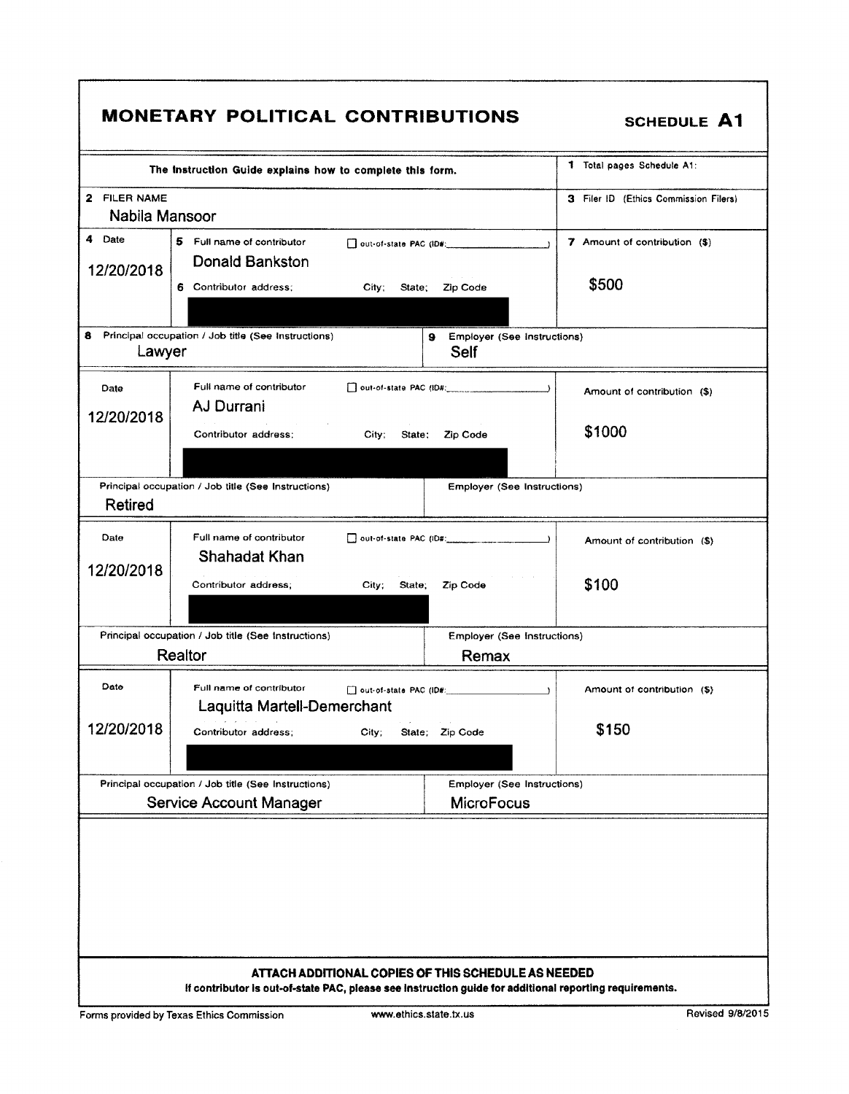|                                                                                                                 | The instruction Guide explains how to complete this form.                             |                                                  | 1 Total pages Schedule A1:            |  |  |  |  |
|-----------------------------------------------------------------------------------------------------------------|---------------------------------------------------------------------------------------|--------------------------------------------------|---------------------------------------|--|--|--|--|
| 2 FILER NAME<br>Nabila Mansoor                                                                                  |                                                                                       |                                                  | 3 Filer ID (Ethics Commission Filers) |  |  |  |  |
| 4 Date<br>12/20/2018                                                                                            | 5 Full name of contributor<br>Donald Bankston                                         |                                                  |                                       |  |  |  |  |
|                                                                                                                 | 6 Contributor address;                                                                | Zip Code<br>City;<br>State:                      | \$500                                 |  |  |  |  |
| 8.<br>Principal occupation / Job title (See Instructions)<br>Employer (See Instructions)<br>9<br>Lawyer<br>Self |                                                                                       |                                                  |                                       |  |  |  |  |
| Date<br>12/20/2018                                                                                              | Full name of contributor<br>AJ Durrani                                                |                                                  | Amount of contribution (\$)           |  |  |  |  |
|                                                                                                                 | Contributor address:                                                                  | City;<br>Zip Code<br>State:                      | \$1000                                |  |  |  |  |
| Retired                                                                                                         | Principal occupation / Job title (See Instructions)                                   |                                                  | Employer (See Instructions)           |  |  |  |  |
| Date                                                                                                            | Full name of contributor<br>Shahadat Khan                                             | $\Box$ out-of-state PAC (iD#: $\Box$ )           | Amount of contribution (\$)           |  |  |  |  |
| 12/20/2018                                                                                                      | Contributor address;                                                                  | City;<br>State;<br>Zip Code                      | \$100                                 |  |  |  |  |
|                                                                                                                 | Principal occupation / Job title (See Instructions)<br>Realtor                        | Employer (See Instructions)<br>Remax             |                                       |  |  |  |  |
| Date                                                                                                            | Full name of contributor<br>Laquitta Martell-Demerchant                               | □ out-of-state PAC (ID#: 1999)                   | Amount of contribution (\$)           |  |  |  |  |
| 12/20/2018                                                                                                      | Contributor address:                                                                  | State; Zip Code<br>City;                         | \$150                                 |  |  |  |  |
|                                                                                                                 | Principal occupation / Job title (See Instructions)<br><b>Service Account Manager</b> | Employer (See Instructions)<br><b>MicroFocus</b> |                                       |  |  |  |  |
|                                                                                                                 |                                                                                       |                                                  |                                       |  |  |  |  |
|                                                                                                                 |                                                                                       |                                                  |                                       |  |  |  |  |
|                                                                                                                 |                                                                                       |                                                  |                                       |  |  |  |  |

1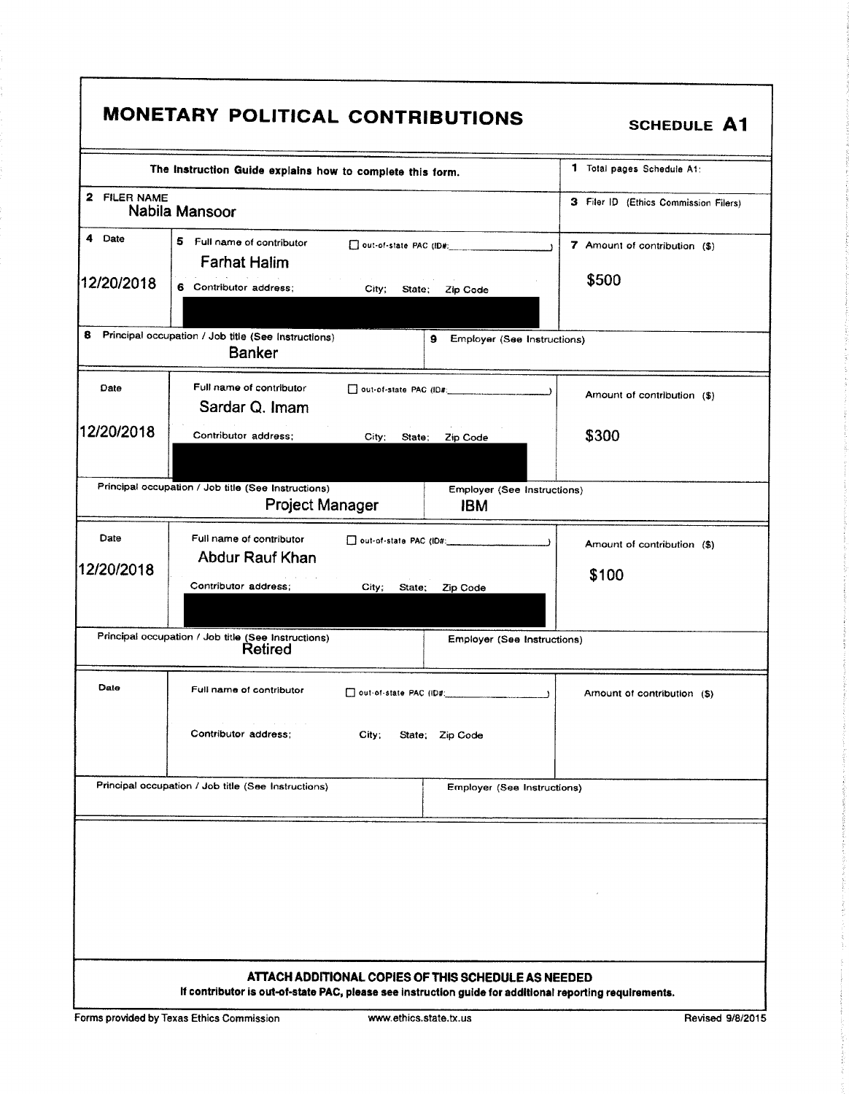|                      | The Instruction Guide explains how to complete this form.                      | 1 Total pages Schedule A1:             |                                           |                                      |
|----------------------|--------------------------------------------------------------------------------|----------------------------------------|-------------------------------------------|--------------------------------------|
| 2 FILER NAME         | Nabila Mansoor                                                                 | 3 Filer ID (Ethics Commission Filers)  |                                           |                                      |
| 4 Date<br>12/20/2018 | 5<br>Full name of contributor<br><b>Farhat Halim</b><br>6 Contributor address: | 7 Amount of contribution (\$)<br>\$500 |                                           |                                      |
| 8                    | Principal occupation / Job title (See Instructions)<br><b>Banker</b>           |                                        | 9<br>Employer (See Instructions)          |                                      |
| Date                 | Full name of contributor<br>Sardar Q. Imam                                     |                                        |                                           | Amount of contribution (\$)          |
| 12/20/2018           | Contributor address:                                                           | City:<br>State:                        | Zip Code                                  | \$300                                |
|                      | Principal occupation / Job title (See Instructions)<br><b>Project Manager</b>  |                                        | Employer (See Instructions)<br><b>IBM</b> |                                      |
| Date<br>12/20/2018   | Full name of contributor<br><b>Abdur Rauf Khan</b><br>Contributor address:     | City;<br>State;                        | Zip Code                                  | Amount of contribution (\$)<br>\$100 |
|                      | Principal occupation / Job title (See Instructions)<br>Retired                 |                                        | Employer (See Instructions)               |                                      |
| Date                 | Full name of contributor<br>Contributor address:<br>City:<br>State; Zip Code   |                                        |                                           | Amount of contribution (\$)          |
|                      | Principal occupation / Job title (See Instructions)                            |                                        | Employer (See Instructions)               |                                      |
|                      |                                                                                |                                        |                                           |                                      |

Forms provided by Texas Ethics Commission www.ethics.state.tx.us Revised 9/8/2015

 $\Gamma$